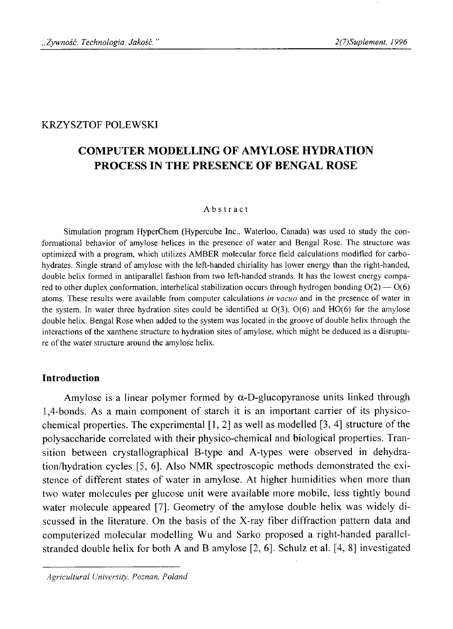## KRZYSZTOF POLEWSKI

# **COMPUTER MODELLING OF AMYLOSE HYDRATION PROCESS IN THE PRESENCE OF BENGAL ROSE**

#### Abstract

Simulation program HyperChem (Hypercube Inc., Waterloo, Canada) was used to study the conformational behavior of amylose helices in the presence of water and Bengal Rose. The structure was optimized with a program, which utilizes AMBER molecular force field calculations modified for carbohydrates. Single strand of amylose with the left-handed chiriality has lower energy than the right-handed, double helix formed in antiparallel fashion from two left-handed strands. It has the lowest energy compared to other duplex conformation, interhelical stabilization occurs through hydrogen bonding  $O(2) - O(6)$ atoms. These results were available from computer calculations *in vacuo* and in the presence of water in the system. In water three hydration sites could be identified at  $O(3)$ ,  $O(6)$  and  $HO(6)$  for the amylose double helix. Bengal Rose when added to the system was located in the groove of double helix through the interactions of the xanthene structure to hydration sites of amylose. which might be deduced as a disrupture of the water structure around the amylose helix.

### **Introduction**

Amylose is a linear polymer formed by  $\alpha$ -D-glucopyranose units linked through 1,4-bonds. As a main component of starch it is an important carrier of its physicochemical properties. The experimental  $[1, 2]$  as well as modelled  $[3, 4]$  structure of the polysaccharide correlated with their physico-chemical and biological properties. Transition between crystallographical B-type and A-types were observed in dehydration/hydration cycles [5, 6]. Also NMR spectroscopic methods demonstrated the existence of different states of water in amylose. At higher humidities when more than two water molecules per glucose unit were available more mobile, less tightly bound water molecule appeared [7], Geometry of the amylose double helix was widely discussed in the literature. On the basis of the X-ray fiber diffraction pattern data and computerized molecular modelling Wu and Sarko proposed a right-handed parallelstranded double helix for both A and B amylose  $[2, 6]$ . Schulz et al.  $[4, 8]$  investigated

*Agricultural University, Poznan, Poland*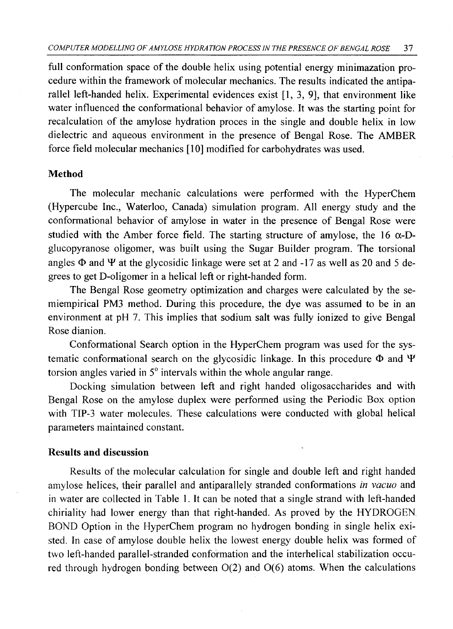full conformation space of the double helix using potential energy minimazation procedure within the framework of molecular mechanics. The results indicated the antiparallel left-handed helix. Experimental evidences exist [1, 3, 9], that environment like water influenced the conformational behavior of amylose. It was the starting point for recalculation of the amylose hydration proces in the single and double helix in low dielectric and aqueous environment in the presence of Bengal Rose. The AMBER force field molecular mechanics [10] modified for carbohydrates was used.

### **Method**

The molecular mechanic calculations were performed with the HyperChem (Hypercube Inc., Waterloo, Canada) simulation program. All energy study and the conformational behavior of amylose in water in the presence of Bengal Rose were studied with the Amber force field. The starting structure of amylose, the 16  $\alpha$ -Dglucopyranose oligomer, was built using the Sugar Builder program. The torsional angles  $\Phi$  and  $\Psi$  at the glycosidic linkage were set at 2 and -17 as well as 20 and 5 degrees to get D-oligomer in a helical left or right-handed form.

The Bengal Rose geometry optimization and charges were calculated by the semiempirical PM3 method. During this procedure, the dye was assumed to be in an environment at pH 7. This implies that sodium salt was fully ionized to give Bengal Rose dianion.

Conformational Search option in the HyperChem program was used for the systematic conformational search on the glycosidic linkage. In this procedure  $\Phi$  and  $\Psi$ torsion angles varied in 5° intervals within the whole angular range.

Docking simulation between left and right handed oligosaccharides and with Bengal Rose on the amylose duplex were performed using the Periodic Box option with TIP-3 water molecules. These calculations were conducted with global helical parameters maintained constant.

### **Results and discussion**

Results of the molecular calculation for single and double left and right handed amylose helices, their parallel and antiparallely stranded conformations *in vacuo* and in water are collected in Table 1. It can be noted that a single strand with left-handed chiriality had lower energy than that right-handed. As proved by the HYDROGEN BOND Option in the HyperChem program no hydrogen bonding in single helix existed. In case of amylose double helix the lowest energy double helix was formed of two left-handed parallel-stranded conformation and the interhelical stabilization occured through hydrogen bonding between  $O(2)$  and  $O(6)$  atoms. When the calculations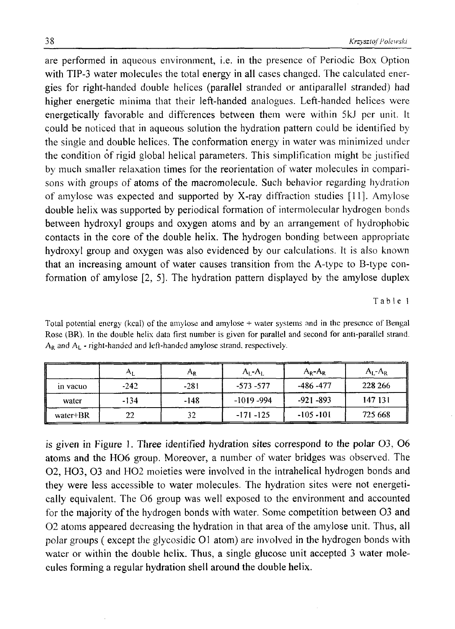are performed in aqueous environment, i.e. in the presence of Periodic Box Option with TIP-3 water molecules the total energy in all cases changed. The calculated energies for right-handed double helices (parallel stranded or antiparallel stranded) had higher energetic minima that their left-handed analogues. Left-handed helices were energetically favorable and differences between them were within 5kJ per unit. It could be noticed that in aqueous solution the hydration pattern could be identified by the single and double helices. The conformation energy in water was minimized under the condition of rigid global helical parameters. This simplification might be justified by much smaller relaxation times for the reorientation of water molecules in comparisons with groups of atoms of the macromolecule. Such behavior regarding hydration of amylose was expected and supported by X-ray diffraction studies [11]. Amylose double helix was supported by periodical formation of intermolecular hydrogen bonds between hydroxyl groups and oxygen atoms and by an arrangement of hydrophobic contacts in the core of the double helix. The hydrogen bonding between appropriate hydroxyl group and oxygen was also evidenced by our calculations. It is also known that an increasing amount of water causes transition from the A-type to B-type conformation of amylose [2, 5]. The hydration pattern displayed by the amylose duplex

Table 1

|            |        | ŕ٩R    | $A_I - A_I$   | $A_R - A_R$  | $A_{I}$ - $A_{R}$ |
|------------|--------|--------|---------------|--------------|-------------------|
| in vacuo   | $-242$ | $-281$ | $-573 - 577$  | $-486 - 477$ | 228 266           |
| water      | -134   | $-148$ | $-1019 - 994$ | $-921 - 893$ | 147 131           |
| $water+BR$ | 22     | 32     | $-171 - 125$  | $-105 - 101$ | 725 668           |

Total potential energy (kcal) of the amylose and amylose + water systems and in the presence of Bengal Rose (BR). In the double helix data first number is given for parallel and second for anti-parallel strand  $A_R$  and  $A_L$  - right-handed and left-handed amylose strand, respectively.

is given in Figure 1. Three identified hydration sites correspond to the polar  $O<sub>3</sub>$ ,  $O<sub>6</sub>$ atoms and the HO6 group. Moreover, a number of water bridges was observed. The 02, HO3, O3 and HO2 moieties were involved in the intrahelical hydrogen bonds and they were less accessible to water molecules. The hydration sites were not energetically equivalent. The O6 group was well exposed to the environment and accounted for the majority of the hydrogen bonds with water. Some competition between 03 and 0 2 atoms appeared decreasing the hydration in that area of the amylose unit. Thus, all polar groups ( except the glycosidic 01 atom) are involved in the hydrogen bonds with water or within the double helix. Thus, a single glucose unit accepted 3 water molecules forming a regular hydration shell around the double helix.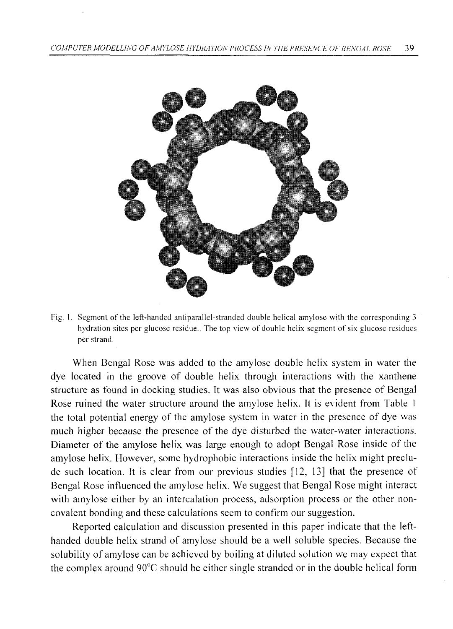

Fig. 1. Segment of the left-handed antiparallel-stranded double helical amylose with the corresponding 3 hydration sites per glucose residue.. The top view of double helix segment of six glucose residues per strand.

When Bengal Rose was added to the amylose double helix system in water the dye located in the groove of double helix through interactions with the xanthene structure as found in docking studies. It was also obvious that the presence of Bengal Rose ruined the water structure around the amylose helix. It is evident from Table 1 the total potential energy of the amylose system in water in the presence of dye was much higher because the presence of the dye disturbed the water-water interactions. Diameter of the amylose helix was large enough to adopt Bengal Rose inside of the amylose helix. However, some hydrophobic interactions inside the helix might preclude such location. It is clear from our previous studies [12, 13] that the presence of Bengal Rose influenced the amylose helix. We suggest that Bengal Rose might interact with amylose either by an intercalation process, adsorption process or the other noncovalent bonding and these calculations seem to confirm our suggestion.

Reported calculation and discussion presented in this paper indicate that the lefthanded double helix strand of amylose should be a well soluble species. Because the solubility of amylose can be achieved by boiling at diluted solution we may expect that the complex around 90°C should be either single stranded or in the double helical form